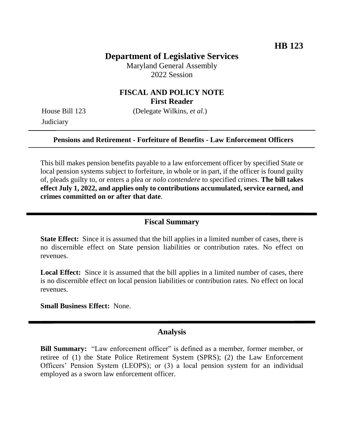# **Department of Legislative Services**

Maryland General Assembly 2022 Session

## **FISCAL AND POLICY NOTE First Reader**

House Bill 123 (Delegate Wilkins, *et al.*) **Judiciary** 

#### **Pensions and Retirement - Forfeiture of Benefits - Law Enforcement Officers**

This bill makes pension benefits payable to a law enforcement officer by specified State or local pension systems subject to forfeiture, in whole or in part, if the officer is found guilty of, pleads guilty to, or enters a plea or *nolo contendere* to specified crimes. **The bill takes effect July 1, 2022, and applies only to contributions accumulated, service earned, and crimes committed on or after that date**.

#### **Fiscal Summary**

**State Effect:** Since it is assumed that the bill applies in a limited number of cases, there is no discernible effect on State pension liabilities or contribution rates. No effect on revenues.

Local Effect: Since it is assumed that the bill applies in a limited number of cases, there is no discernible effect on local pension liabilities or contribution rates. No effect on local revenues.

**Small Business Effect:** None.

#### **Analysis**

**Bill Summary:** "Law enforcement officer" is defined as a member, former member, or retiree of (1) the State Police Retirement System (SPRS); (2) the Law Enforcement Officers' Pension System (LEOPS); or (3) a local pension system for an individual employed as a sworn law enforcement officer.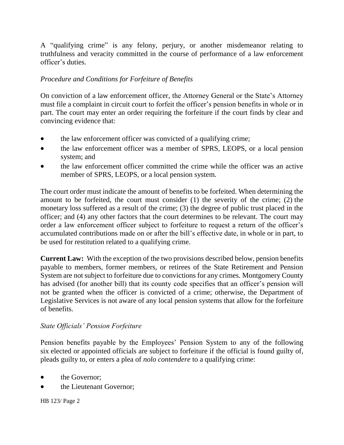A "qualifying crime" is any felony, perjury, or another misdemeanor relating to truthfulness and veracity committed in the course of performance of a law enforcement officer's duties.

## *Procedure and Conditions for Forfeiture of Benefits*

On conviction of a law enforcement officer, the Attorney General or the State's Attorney must file a complaint in circuit court to forfeit the officer's pension benefits in whole or in part. The court may enter an order requiring the forfeiture if the court finds by clear and convincing evidence that:

- the law enforcement officer was convicted of a qualifying crime;
- the law enforcement officer was a member of SPRS, LEOPS, or a local pension system; and
- the law enforcement officer committed the crime while the officer was an active member of SPRS, LEOPS, or a local pension system.

The court order must indicate the amount of benefits to be forfeited. When determining the amount to be forfeited, the court must consider (1) the severity of the crime; (2) the monetary loss suffered as a result of the crime; (3) the degree of public trust placed in the officer; and (4) any other factors that the court determines to be relevant. The court may order a law enforcement officer subject to forfeiture to request a return of the officer's accumulated contributions made on or after the bill's effective date, in whole or in part, to be used for restitution related to a qualifying crime.

**Current Law:** With the exception of the two provisions described below, pension benefits payable to members, former members, or retirees of the State Retirement and Pension System are not subject to forfeiture due to convictions for any crimes. Montgomery County has advised (for another bill) that its county code specifies that an officer's pension will not be granted when the officer is convicted of a crime; otherwise, the Department of Legislative Services is not aware of any local pension systems that allow for the forfeiture of benefits.

### *State Officials' Pension Forfeiture*

Pension benefits payable by the Employees' Pension System to any of the following six elected or appointed officials are subject to forfeiture if the official is found guilty of, pleads guilty to, or enters a plea of *nolo contendere* to a qualifying crime:

- the Governor;
- the Lieutenant Governor;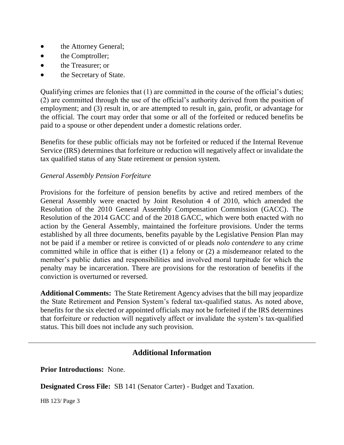- the Attorney General;
- the Comptroller;
- the Treasurer; or
- the Secretary of State.

Qualifying crimes are felonies that (1) are committed in the course of the official's duties; (2) are committed through the use of the official's authority derived from the position of employment; and (3) result in, or are attempted to result in, gain, profit, or advantage for the official. The court may order that some or all of the forfeited or reduced benefits be paid to a spouse or other dependent under a domestic relations order.

Benefits for these public officials may not be forfeited or reduced if the Internal Revenue Service (IRS) determines that forfeiture or reduction will negatively affect or invalidate the tax qualified status of any State retirement or pension system.

## *General Assembly Pension Forfeiture*

Provisions for the forfeiture of pension benefits by active and retired members of the General Assembly were enacted by Joint Resolution 4 of 2010, which amended the Resolution of the 2010 General Assembly Compensation Commission (GACC). The Resolution of the 2014 GACC and of the 2018 GACC, which were both enacted with no action by the General Assembly, maintained the forfeiture provisions. Under the terms established by all three documents, benefits payable by the Legislative Pension Plan may not be paid if a member or retiree is convicted of or pleads *nolo contendere* to any crime committed while in office that is either (1) a felony or (2) a misdemeanor related to the member's public duties and responsibilities and involved moral turpitude for which the penalty may be incarceration. There are provisions for the restoration of benefits if the conviction is overturned or reversed.

**Additional Comments:** The State Retirement Agency advises that the bill may jeopardize the State Retirement and Pension System's federal tax-qualified status. As noted above, benefits for the six elected or appointed officials may not be forfeited if the IRS determines that forfeiture or reduction will negatively affect or invalidate the system's tax-qualified status. This bill does not include any such provision.

# **Additional Information**

**Prior Introductions:** None.

**Designated Cross File:** SB 141 (Senator Carter) - Budget and Taxation.

HB 123/ Page 3